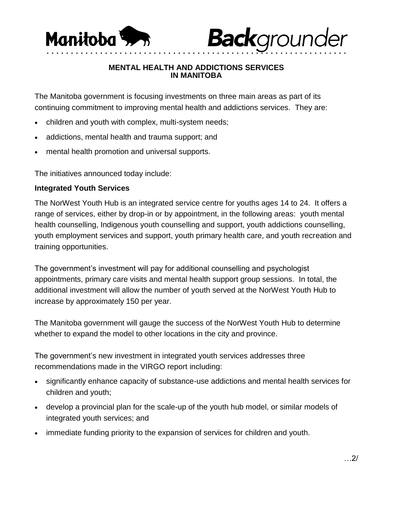



## **MENTAL HEALTH AND ADDICTIONS SERVICES IN MANITOBA**

The Manitoba government is focusing investments on three main areas as part of its continuing commitment to improving mental health and addictions services. They are:

- children and youth with complex, multi-system needs;
- addictions, mental health and trauma support; and
- mental health promotion and universal supports.

The initiatives announced today include:

## **Integrated Youth Services**

The NorWest Youth Hub is an integrated service centre for youths ages 14 to 24. It offers a range of services, either by drop-in or by appointment, in the following areas: youth mental health counselling, Indigenous youth counselling and support, youth addictions counselling, youth employment services and support, youth primary health care, and youth recreation and training opportunities.

The government's investment will pay for additional counselling and psychologist appointments, primary care visits and mental health support group sessions. In total, the additional investment will allow the number of youth served at the NorWest Youth Hub to increase by approximately 150 per year.

The Manitoba government will gauge the success of the NorWest Youth Hub to determine whether to expand the model to other locations in the city and province.

The government's new investment in integrated youth services addresses three recommendations made in the VIRGO report including:

- significantly enhance capacity of substance-use addictions and mental health services for children and youth;
- develop a provincial plan for the scale-up of the youth hub model, or similar models of integrated youth services; and
- immediate funding priority to the expansion of services for children and youth.